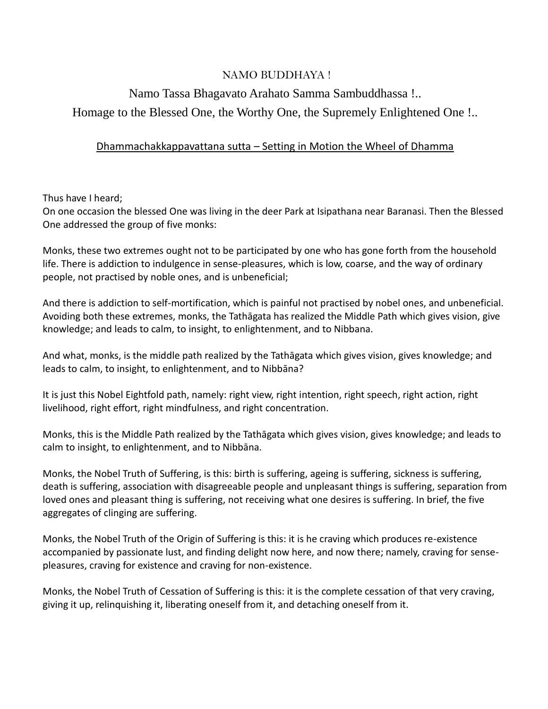## NAMO BUDDHAYA !

## Namo Tassa Bhagavato Arahato Samma Sambuddhassa !.. Homage to the Blessed One, the Worthy One, the Supremely Enlightened One !..

## Dhammachakkappavattana sutta – Setting in Motion the Wheel of Dhamma

Thus have I heard;

On one occasion the blessed One was living in the deer Park at Isipathana near Baranasi. Then the Blessed One addressed the group of five monks:

Monks, these two extremes ought not to be participated by one who has gone forth from the household life. There is addiction to indulgence in sense-pleasures, which is low, coarse, and the way of ordinary people, not practised by noble ones, and is unbeneficial;

And there is addiction to self-mortification, which is painful not practised by nobel ones, and unbeneficial. Avoiding both these extremes, monks, the Tathāgata has realized the Middle Path which gives vision, give knowledge; and leads to calm, to insight, to enlightenment, and to Nibbana.

And what, monks, is the middle path realized by the Tathāgata which gives vision, gives knowledge; and leads to calm, to insight, to enlightenment, and to Nibbāna?

It is just this Nobel Eightfold path, namely: right view, right intention, right speech, right action, right livelihood, right effort, right mindfulness, and right concentration.

Monks, this is the Middle Path realized by the Tathāgata which gives vision, gives knowledge; and leads to calm to insight, to enlightenment, and to Nibbāna.

Monks, the Nobel Truth of Suffering, is this: birth is suffering, ageing is suffering, sickness is suffering, death is suffering, association with disagreeable people and unpleasant things is suffering, separation from loved ones and pleasant thing is suffering, not receiving what one desires is suffering. In brief, the five aggregates of clinging are suffering.

Monks, the Nobel Truth of the Origin of Suffering is this: it is he craving which produces re-existence accompanied by passionate lust, and finding delight now here, and now there; namely, craving for sensepleasures, craving for existence and craving for non-existence.

Monks, the Nobel Truth of Cessation of Suffering is this: it is the complete cessation of that very craving, giving it up, relinquishing it, liberating oneself from it, and detaching oneself from it.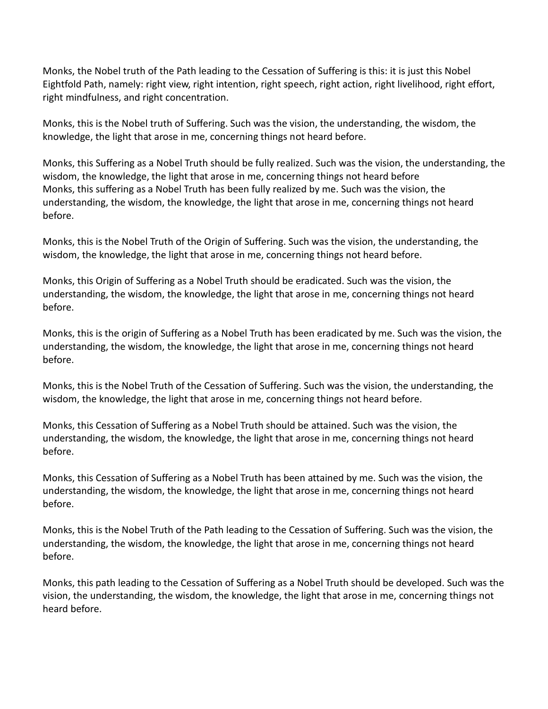Monks, the Nobel truth of the Path leading to the Cessation of Suffering is this: it is just this Nobel Eightfold Path, namely: right view, right intention, right speech, right action, right livelihood, right effort, right mindfulness, and right concentration.

Monks, this is the Nobel truth of Suffering. Such was the vision, the understanding, the wisdom, the knowledge, the light that arose in me, concerning things not heard before.

Monks, this Suffering as a Nobel Truth should be fully realized. Such was the vision, the understanding, the wisdom, the knowledge, the light that arose in me, concerning things not heard before Monks, this suffering as a Nobel Truth has been fully realized by me. Such was the vision, the understanding, the wisdom, the knowledge, the light that arose in me, concerning things not heard before.

Monks, this is the Nobel Truth of the Origin of Suffering. Such was the vision, the understanding, the wisdom, the knowledge, the light that arose in me, concerning things not heard before.

Monks, this Origin of Suffering as a Nobel Truth should be eradicated. Such was the vision, the understanding, the wisdom, the knowledge, the light that arose in me, concerning things not heard before.

Monks, this is the origin of Suffering as a Nobel Truth has been eradicated by me. Such was the vision, the understanding, the wisdom, the knowledge, the light that arose in me, concerning things not heard before.

Monks, this is the Nobel Truth of the Cessation of Suffering. Such was the vision, the understanding, the wisdom, the knowledge, the light that arose in me, concerning things not heard before.

Monks, this Cessation of Suffering as a Nobel Truth should be attained. Such was the vision, the understanding, the wisdom, the knowledge, the light that arose in me, concerning things not heard before.

Monks, this Cessation of Suffering as a Nobel Truth has been attained by me. Such was the vision, the understanding, the wisdom, the knowledge, the light that arose in me, concerning things not heard before.

Monks, this is the Nobel Truth of the Path leading to the Cessation of Suffering. Such was the vision, the understanding, the wisdom, the knowledge, the light that arose in me, concerning things not heard before.

Monks, this path leading to the Cessation of Suffering as a Nobel Truth should be developed. Such was the vision, the understanding, the wisdom, the knowledge, the light that arose in me, concerning things not heard before.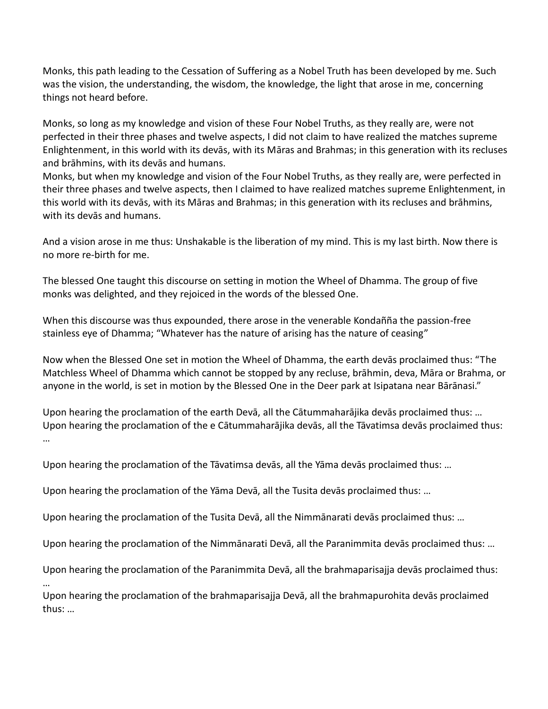Monks, this path leading to the Cessation of Suffering as a Nobel Truth has been developed by me. Such was the vision, the understanding, the wisdom, the knowledge, the light that arose in me, concerning things not heard before.

Monks, so long as my knowledge and vision of these Four Nobel Truths, as they really are, were not perfected in their three phases and twelve aspects, I did not claim to have realized the matches supreme Enlightenment, in this world with its devās, with its Māras and Brahmas; in this generation with its recluses and brāhmins, with its devās and humans.

Monks, but when my knowledge and vision of the Four Nobel Truths, as they really are, were perfected in their three phases and twelve aspects, then I claimed to have realized matches supreme Enlightenment, in this world with its devās, with its Māras and Brahmas; in this generation with its recluses and brāhmins, with its devās and humans.

And a vision arose in me thus: Unshakable is the liberation of my mind. This is my last birth. Now there is no more re-birth for me.

The blessed One taught this discourse on setting in motion the Wheel of Dhamma. The group of five monks was delighted, and they rejoiced in the words of the blessed One.

When this discourse was thus expounded, there arose in the venerable Kondañña the passion-free stainless eye of Dhamma; "Whatever has the nature of arising has the nature of ceasing"

Now when the Blessed One set in motion the Wheel of Dhamma, the earth devās proclaimed thus: "The Matchless Wheel of Dhamma which cannot be stopped by any recluse, brāhmin, deva, Māra or Brahma, or anyone in the world, is set in motion by the Blessed One in the Deer park at Isipatana near Bārānasi."

Upon hearing the proclamation of the earth Devā, all the Cātummaharājika devās proclaimed thus: … Upon hearing the proclamation of the e Cātummaharājika devās, all the Tāvatimsa devās proclaimed thus: …

Upon hearing the proclamation of the Tāvatimsa devās, all the Yāma devās proclaimed thus: …

Upon hearing the proclamation of the Yāma Devā, all the Tusita devās proclaimed thus: …

Upon hearing the proclamation of the Tusita Devā, all the Nimmānarati devās proclaimed thus: …

Upon hearing the proclamation of the Nimmānarati Devā, all the Paranimmita devās proclaimed thus: …

Upon hearing the proclamation of the Paranimmita Devā, all the brahmaparisajja devās proclaimed thus:

…

Upon hearing the proclamation of the brahmaparisajja Devā, all the brahmapurohita devās proclaimed thus: …